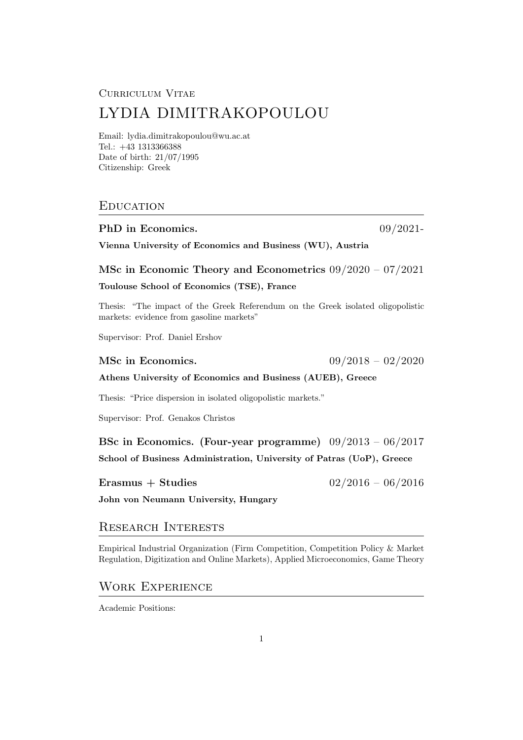#### Curriculum Vitae

# LYDIA DIMITRAKOPOULOU

Email: lydia.dimitrakopoulou@wu.ac.at Tel.: +43 1313366388 Date of birth: 21/07/1995 Citizenship: Greek

### **EDUCATION**

#### PhD in Economics. 09/2021-

Vienna University of Economics and Business (WU), Austria

MSc in Economic Theory and Econometrics 09/2020 – 07/2021

#### Toulouse School of Economics (TSE), France

Thesis: "The impact of the Greek Referendum on the Greek isolated oligopolistic markets: evidence from gasoline markets"

Supervisor: Prof. Daniel Ershov

MSc in Economics. 09/2018 – 02/2020

#### Athens University of Economics and Business (AUEB), Greece

Thesis: "Price dispersion in isolated oligopolistic markets."

Supervisor: Prof. Genakos Christos

BSc in Economics. (Four-year programme) 09/2013 – 06/2017 School of Business Administration, University of Patras (UoP), Greece

Erasmus + Studies  $02/2016 - 06/2016$ 

John von Neumann University, Hungary

### Research Interests

Empirical Industrial Organization (Firm Competition, Competition Policy & Market Regulation, Digitization and Online Markets), Applied Microeconomics, Game Theory

#### Work Experience

Academic Positions: